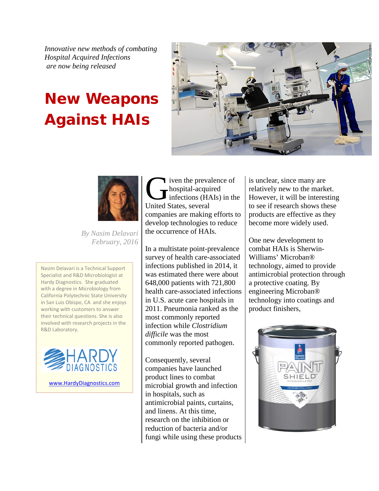*Innovative new methods of combating Hospital Acquired Infections are now being released*

## New Weapons Against HAIs





*By Nasim Delavari February, 2016*

Nasim Delavari is a Technical Support Specialist and R&D Microbiologist at Hardy Diagnostics. She graduated with a degree in Microbiology from California Polytechnic State University in San Luis Obispo, CA and she enjoys working with customers to answer their technical questions. She is also involved with research projects in the R&D Laboratory.



[www.HardyDiagnostics.com](http://hardydiagnostics.com/)

iven the prevalence of hospital-acquired infections (HAIs) in the Viven the preva<br>
Infections (HA<br>
United States, several companies are making efforts to develop technologies to reduce the occurrence of HAIs.

In a multistate point-prevalence survey of health care-associated infections published in 2014, it was estimated there were about 648,000 patients with 721,800 health care-associated infections in U.S. acute care hospitals in 2011. Pneumonia ranked as the most commonly reported infection while *Clostridium difficile* was the most commonly reported pathogen.

Consequently, several companies have launched product lines to combat microbial growth and infection in hospitals, such as antimicrobial paints, curtains, and linens. At this time, research on the inhibition or reduction of bacteria and/or fungi while using these products is unclear, since many are relatively new to the market. However, it will be interesting to see if research shows these products are effective as they become more widely used.

One new development to combat HAIs is Sherwin-Williams' Microban® technology, aimed to provide antimicrobial protection through a protective coating. By engineering Microban® technology into coatings and product finishers,

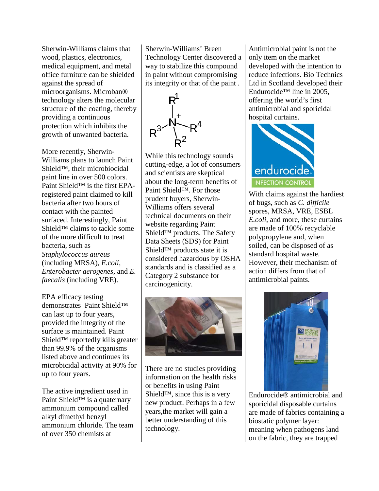Sherwin-Williams claims that wood, plastics, electronics, medical equipment, and metal office furniture can be shielded against the spread of microorganisms. Microban® technology alters the molecular structure of the coating, thereby providing a continuous protection which inhibits the growth of unwanted bacteria.

More recently, Sherwin-Williams plans to launch Paint Shield™, their microbiocidal paint line in over 500 colors. Paint Shield™ is the first EPAregistered paint claimed to kill bacteria after two hours of contact with the painted surfaced. Interestingly, Paint Shield™ claims to tackle some of the more difficult to treat bacteria, such as *Staphylococcus aureus* (including MRSA), *E.coli*, *Enterobacter aerogenes,* and *E. faecalis* (including VRE).

EPA efficacy testing demonstrates Paint Shield™ can last up to four years, provided the integrity of the surface is maintained. Paint Shield™ reportedly kills greater than 99.9% of the organisms listed above and continues its microbicidal activity at 90% for up to four years.

The active ingredient used in Paint Shield<sup>™</sup> is a quaternary ammonium compound called alkyl dimethyl benzyl ammonium chloride. The team of over 350 chemists at

Sherwin-Williams' Breen Technology Center discovered a way to stabilize this compound in paint without compromising its integrity or that of the paint .



While this technology sounds cutting-edge, a lot of consumers and scientists are skeptical about the long-term benefits of Paint Shield™. For those prudent buyers, Sherwin-Williams offers several technical documents on their website regarding Paint Shield™ products. The Safety Data Sheets (SDS) for Paint Shield™ products state it is considered hazardous by OSHA standards and is classified as a Category 2 substance for carcinogenicity.



There are no studies providing information on the health risks or benefits in using Paint Shield™, since this is a very new product. Perhaps in a few years,the market will gain a better understanding of this technology.

Antimicrobial paint is not the only item on the market developed with the intention to reduce infections. Bio Technics Ltd in Scotland developed their Endurocide™ line in 2005, offering the world's first antimicrobial and sporicidal hospital curtains.



With claims against the hardiest of bugs, such as *C. difficile*  spores, MRSA, VRE, ESBL *E.coli*, and more, these curtains are made of 100% recyclable polypropylene and, when soiled, can be disposed of as standard hospital waste. However, their mechanism of action differs from that of antimicrobial paints.



Endurocide® antimicrobial and sporicidal disposable curtains are made of fabrics containing a biostatic polymer layer: meaning when pathogens land on the fabric, they are trapped